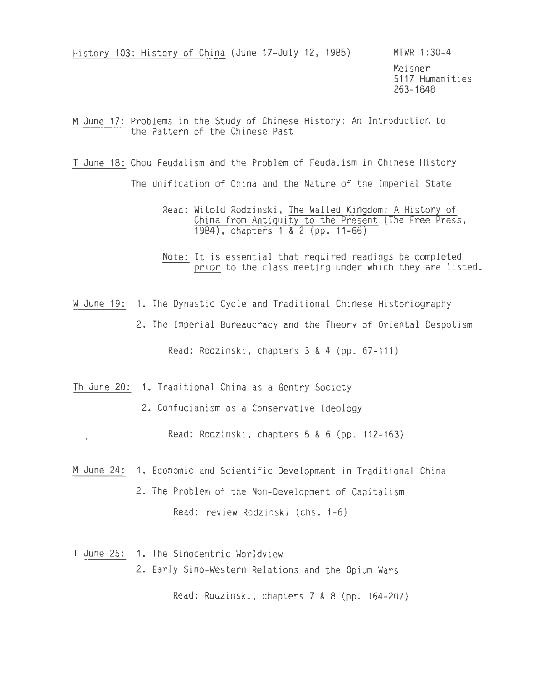History 103: History of China (June 17-July 12, 1985) MTWR 1:30-4

Meisner 5117 Humanities 263-1848

M June 17: Problems in the Study of Chinese History: An Introduction to the Pattern of the Chinese Past

T June 18: Chou Feudalism and the Problem of Feudalism in Chinese History

The Unification of China and the Nature of the Imperial State

Read: Witold Rodzinski, The Walled Kingdom: A History of China from Antiquity to the Present (The Free Press, 1984), chapters 1 & 2 (pp. 11-66)

Note: It is essential that required readings be completed prior to the class meeting under which they are listed.

W June 19: 1. The Dynastic Cycle and Traditional Chinese Historiography

2. The Imperial Bureaucracy and the Theory of Oriental Despotism

Read: Rodzinski, chapters 3 & 4 (pp. 67-111)

Th June 20: 1. Traditional China as a Gentry Society

 $\epsilon$ 

2. Confucianism as a Conservative Ideology

Read: Rodzinski, chapters 5 & 6 (pp. 112-163)

M June 24: 1. Economic and Scientific Development in Traditional China 2. The Problem of the Non-Development of Capitalism Read: review Rodzinski (chs. 1-6)

T June 25: 1. The Sinocentric Worldview 2. Early Sino-Western Relations and the Opium Wars

Read: Rodzinski, chapters 7 & 8 (pp. 164-207)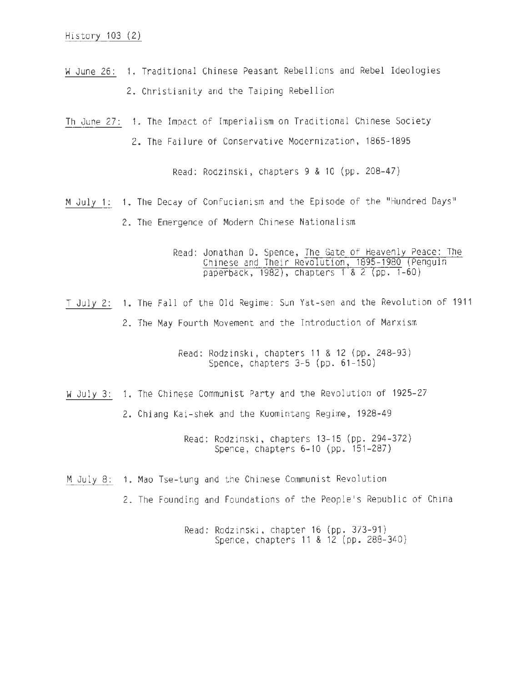- W June 26: 1. Traditional Chinese Peasant Rebellions and Rebel Ideologies 2. Christianity and the Taiping Rebellion
- Th June 27: 1. The Impact of Imperialism on Traditional Chinese Society 2. The Failure of Conservative Modernization, 1865-1895

Read: Rodzinski, chapters 9 & 10 (pp. 208-47)

M July 1: 1. The Decay of Confucianism and the Episode of the "Hundred Days" 2. The Emergence of Modern Chinese Nationalism

> Read: Jonathan D. Spence, The Gate of Heavenly Peace: The Chinese and Their Revolution, 1895-1980 (Penguin paperback, 1982), chapters 1 & 2 (pp. 1-60)

T July 2: 1. The Fall of the Old Regime: Sun Vat-sen and the Revolution of 1911 2. The May Fourth Movement and the Introduction of Marxism

> Read: Rodzinski, chapters 11 & 12 (pp. 248-93) Spence, chapters 3-5 (pp. 61-150)

W July 3: 1. The Chinese Communist Party and the Revolution of 1925-27

2. Chiang Kai-shek and the Kuomintang Regime, 1928-49

Read: Rodzinski, chapters 13-15 (pp. 294-372) Spence, chapters 6-10 (pp. 151-287)

- M July 8: 1. Mao Tse-tung and the Chinese Communist Revolution
	- 2. The Founding and Foundations of the People's Republic of China

Read: Rodzinski, chapter 16 (pp. 373-91) Spence, chapters 11 & 12 (pp. 288-340)